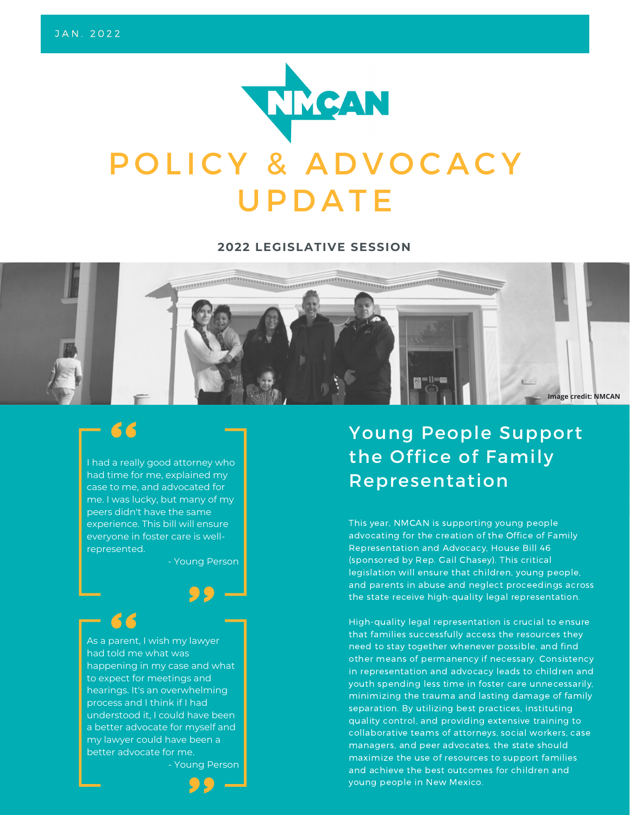

#### **2022 LEGISLATIVE SESSION**



# 66

I had a really good attorney who had time for me, explained my case to me, and advocated for me. I was lucky, but many of my peers didn't have the same experience. This bill will ensure everyone in foster care is wellrepresented.

- Young Person

As a parent, I wish my lawyer had told me what was happening in my case and what to expect for meetings and hearings. It's an overwhelming process and I think if I had understood it, I could have been a better advocate for myself and my lawyer could have been a better advocate for me.

- Young Person



# Young People Support the Office of Family Representation

This year, NMCAN is supporting young people advocating for the creation of the Office of Family Representation and Advocacy, House Bill 46 (sponsored by Rep. Gail Chasey). This critical legislation will ensure that children, young people, and parents in abuse and neglect proceedings across the state receive high-quality legal representation.

High-quality legal representation is crucial to ensure that families successfully access the resources they need to stay together whenever possible, and find other means of permanency if necessary. Consistency in representation and advocacy leads to children and youth spending less time in foster care unnecessarily, minimizing the trauma and lasting damage of family separation. By utilizing best practices, instituting quality control, and providing extensive training to collaborative teams of attorneys, social workers, case managers, and peer advocates, the state should maximize the use of resources to support families and achieve the best outcomes for children and young people in New Mexico.